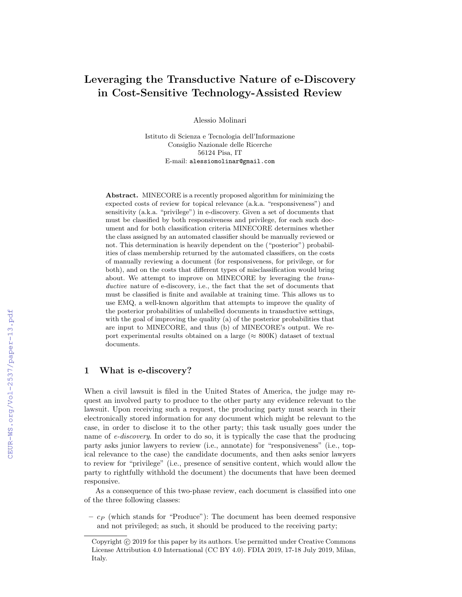# Leveraging the Transductive Nature of e-Discovery in Cost-Sensitive Technology-Assisted Review

Alessio Molinari

Istituto di Scienza e Tecnologia dell'Informazione Consiglio Nazionale delle Ricerche 56124 Pisa, IT E-mail: alessiomolinar@gmail.com

Abstract. MINECORE is a recently proposed algorithm for minimizing the expected costs of review for topical relevance (a.k.a. "responsiveness") and sensitivity (a.k.a. "privilege") in e-discovery. Given a set of documents that must be classified by both responsiveness and privilege, for each such document and for both classification criteria MINECORE determines whether the class assigned by an automated classifier should be manually reviewed or not. This determination is heavily dependent on the ("posterior") probabilities of class membership returned by the automated classifiers, on the costs of manually reviewing a document (for responsiveness, for privilege, or for both), and on the costs that different types of misclassification would bring about. We attempt to improve on MINECORE by leveraging the transductive nature of e-discovery, i.e., the fact that the set of documents that must be classified is finite and available at training time. This allows us to use EMQ, a well-known algorithm that attempts to improve the quality of the posterior probabilities of unlabelled documents in transductive settings, with the goal of improving the quality (a) of the posterior probabilities that are input to MINECORE, and thus (b) of MINECORE's output. We report experimental results obtained on a large ( $\approx 800$ K) dataset of textual documents.

## 1 What is e-discovery?

When a civil lawsuit is filed in the United States of America, the judge may request an involved party to produce to the other party any evidence relevant to the lawsuit. Upon receiving such a request, the producing party must search in their electronically stored information for any document which might be relevant to the case, in order to disclose it to the other party; this task usually goes under the name of e-discovery. In order to do so, it is typically the case that the producing party asks junior lawyers to review (i.e., annotate) for "responsiveness" (i.e., topical relevance to the case) the candidate documents, and then asks senior lawyers to review for "privilege" (i.e., presence of sensitive content, which would allow the party to rightfully withhold the document) the documents that have been deemed responsive.

As a consequence of this two-phase review, each document is classified into one of the three following classes:

 $- c_P$  (which stands for "Produce"): The document has been deemed responsive and not privileged; as such, it should be produced to the receiving party;

Copyright (c) 2019 for this paper by its authors. Use permitted under Creative Commons License Attribution 4.0 International (CC BY 4.0). FDIA 2019, 17-18 July 2019, Milan, Italy.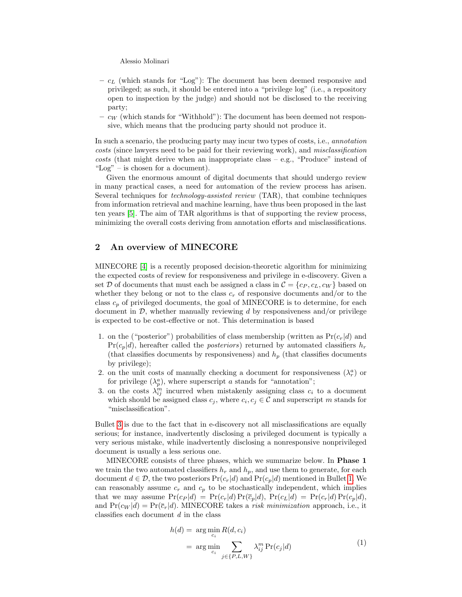Alessio Molinari

- $c_L$  (which stands for "Log"): The document has been deemed responsive and privileged; as such, it should be entered into a "privilege log" (i.e., a repository open to inspection by the judge) and should not be disclosed to the receiving party;
- $c_W$  (which stands for "Withhold"): The document has been deemed not responsive, which means that the producing party should not produce it.

In such a scenario, the producing party may incur two types of costs, i.e., annotation costs (since lawyers need to be paid for their reviewing work), and misclassification  $costs$  (that might derive when an inappropriate class – e.g., "Produce" instead of "Log" – is chosen for a document).

Given the enormous amount of digital documents that should undergo review in many practical cases, a need for automation of the review process has arisen. Several techniques for technology-assisted review (TAR), that combine techniques from information retrieval and machine learning, have thus been proposed in the last ten years [\[5\]](#page-6-0). The aim of TAR algorithms is that of supporting the review process, minimizing the overall costs deriving from annotation efforts and misclassifications.

## <span id="page-1-2"></span>2 An overview of MINECORE

MINECORE [\[4\]](#page-5-0) is a recently proposed decision-theoretic algorithm for minimizing the expected costs of review for responsiveness and privilege in e-discovery. Given a set D of documents that must each be assigned a class in  $\mathcal{C} = \{c_P, c_L, c_W\}$  based on whether they belong or not to the class  $c_r$  of responsive documents and/or to the class  $c_p$  of privileged documents, the goal of MINECORE is to determine, for each document in  $\mathcal{D}$ , whether manually reviewing d by responsiveness and/or privilege is expected to be cost-effective or not. This determination is based

- <span id="page-1-1"></span>1. on the ("posterior") probabilities of class membership (written as  $Pr(c_r|d)$  and  $Pr(c_p|d)$ , hereafter called the *posteriors*) returned by automated classifiers  $h_r$ (that classifies documents by responsiveness) and  $h_p$  (that classifies documents by privilege);
- <span id="page-1-3"></span>2. on the unit costs of manually checking a document for responsiveness  $(\lambda_r^a)$  or for privilege  $(\lambda_p^a)$ , where superscript a stands for "annotation";
- <span id="page-1-0"></span>3. on the costs  $\lambda_{ij}^m$  incurred when mistakenly assigning class  $c_i$  to a document which should be assigned class  $c_j$ , where  $c_i, c_j \in \mathcal{C}$  and superscript m stands for "misclassification".

Bullet [3](#page-1-0) is due to the fact that in e-discovery not all misclassifications are equally serious; for instance, inadvertently disclosing a privileged document is typically a very serious mistake, while inadvertently disclosing a nonresponsive nonprivileged document is usually a less serious one.

MINECORE consists of three phases, which we summarize below. In Phase 1 we train the two automated classifiers  $h_r$  and  $h_p$ , and use them to generate, for each document  $d \in \mathcal{D}$ , the two posteriors  $Pr(c_r|d)$  and  $Pr(c_p|d)$  mentioned in Bullet [1.](#page-1-1) We can reasonably assume  $c_r$  and  $c_p$  to be stochastically independent, which implies that we may assume  $Pr(c_P | d) = Pr(c_r | d) Pr(\overline{c}_p | d)$ ,  $Pr(c_L | d) = Pr(c_r | d) Pr(c_p | d)$ , and  $Pr(c_W | d) = Pr(\overline{c}_r | d)$ . MINECORE takes a *risk minimization* approach, i.e., it classifies each document d in the class

$$
h(d) = \arg\min_{c_i} R(d, c_i)
$$
  
= 
$$
\arg\min_{c_i} \sum_{j \in \{P, L, W\}} \lambda_{ij}^m \Pr(c_j|d)
$$
 (1)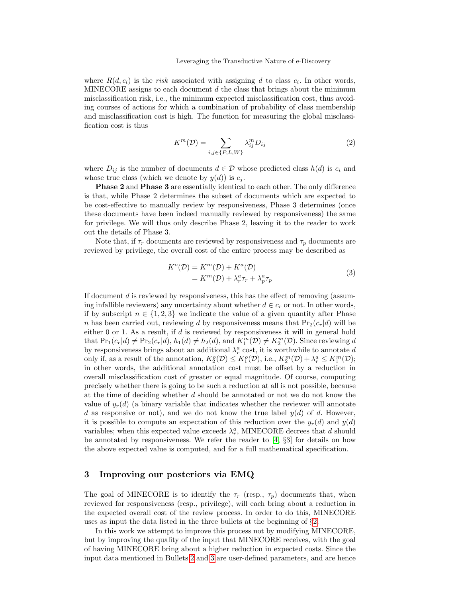where  $R(d, c_i)$  is the risk associated with assigning d to class  $c_i$ . In other words, MINECORE assigns to each document  $d$  the class that brings about the minimum misclassification risk, i.e., the minimum expected misclassification cost, thus avoiding courses of actions for which a combination of probability of class membership and misclassification cost is high. The function for measuring the global misclassification cost is thus

$$
K^m(\mathcal{D}) = \sum_{i,j \in \{P,L,W\}} \lambda_{ij}^m D_{ij}
$$
 (2)

where  $D_{ij}$  is the number of documents  $d \in \mathcal{D}$  whose predicted class  $h(d)$  is  $c_i$  and whose true class (which we denote by  $y(d)$ ) is  $c_j$ .

Phase 2 and Phase 3 are essentially identical to each other. The only difference is that, while Phase 2 determines the subset of documents which are expected to be cost-effective to manually review by responsiveness, Phase 3 determines (once these documents have been indeed manually reviewed by responsiveness) the same for privilege. We will thus only describe Phase 2, leaving it to the reader to work out the details of Phase 3.

Note that, if  $\tau_r$  documents are reviewed by responsiveness and  $\tau_p$  documents are reviewed by privilege, the overall cost of the entire process may be described as

<span id="page-2-0"></span>
$$
K^{o}(\mathcal{D}) = K^{m}(\mathcal{D}) + K^{a}(\mathcal{D})
$$
  
=  $K^{m}(\mathcal{D}) + \lambda_{r}^{a} \tau_{r} + \lambda_{p}^{a} \tau_{p}$  (3)

If document d is reviewed by responsiveness, this has the effect of removing (assuming infallible reviewers) any uncertainty about whether  $d \in c_r$  or not. In other words, if by subscript  $n \in \{1,2,3\}$  we indicate the value of a given quantity after Phase n has been carried out, reviewing d by responsiveness means that  $Pr_2(c_r|d)$  will be either 0 or 1. As a result, if  $d$  is reviewed by responsiveness it will in general hold that  $Pr_1(c_r|d) \neq Pr_2(c_r|d), h_1(d) \neq h_2(d)$ , and  $K_1^m(\mathcal{D}) \neq K_2^m(\mathcal{D})$ . Since reviewing d by responsiveness brings about an additional  $\lambda_r^a$  cost, it is worthwhile to annotate d only if, as a result of the annotation,  $K_2^o(\mathcal{D}) \leq K_1^o(\mathcal{D})$ , i.e.,  $K_2^m(\mathcal{D}) + \lambda_r^a \leq K_1^m(\mathcal{D})$ ; in other words, the additional annotation cost must be offset by a reduction in overall misclassification cost of greater or equal magnitude. Of course, computing precisely whether there is going to be such a reduction at all is not possible, because at the time of deciding whether d should be annotated or not we do not know the value of  $y_r(d)$  (a binary variable that indicates whether the reviewer will annotate d as responsive or not), and we do not know the true label  $y(d)$  of d. However, it is possible to compute an expectation of this reduction over the  $y_r(d)$  and  $y(d)$ variables; when this expected value exceeds  $\lambda_r^a$ , MINECORE decrees that d should be annotated by responsiveness. We refer the reader to [\[4,](#page-5-0) §3] for details on how the above expected value is computed, and for a full mathematical specification.

## 3 Improving our posteriors via EMQ

The goal of MINECORE is to identify the  $\tau_r$  (resp.,  $\tau_p$ ) documents that, when reviewed for responsiveness (resp., privilege), will each bring about a reduction in the expected overall cost of the review process. In order to do this, MINECORE uses as input the data listed in the three bullets at the beginning of §[2.](#page-1-2)

In this work we attempt to improve this process not by modifying MINECORE, but by improving the quality of the input that MINECORE receives, with the goal of having MINECORE bring about a higher reduction in expected costs. Since the input data mentioned in Bullets [2](#page-1-3) and [3](#page-1-0) are user-defined parameters, and are hence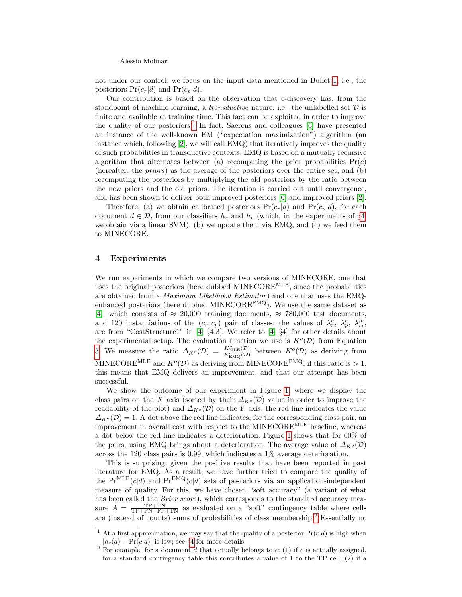Alessio Molinari

not under our control, we focus on the input data mentioned in Bullet [1,](#page-1-1) i.e., the posteriors  $Pr(c_r|d)$  and  $Pr(c_p|d)$ .

Our contribution is based on the observation that e-discovery has, from the standpoint of machine learning, a *transductive* nature, i.e., the unlabelled set  $D$  is finite and available at training time. This fact can be exploited in order to improve the quality of our posteriors.<sup>[1](#page-3-0)</sup> In fact, Saerens and colleagues [\[6\]](#page-6-1) have presented an instance of the well-known EM ("expectation maximization") algorithm (an instance which, following [\[2\]](#page-5-1), we will call EMQ) that iteratively improves the quality of such probabilities in transductive contexts. EMQ is based on a mutually recursive algorithm that alternates between (a) recomputing the prior probabilities  $Pr(c)$ (hereafter: the priors) as the average of the posteriors over the entire set, and (b) recomputing the posteriors by multiplying the old posteriors by the ratio between the new priors and the old priors. The iteration is carried out until convergence, and has been shown to deliver both improved posteriors [\[6\]](#page-6-1) and improved priors [\[2\]](#page-5-1).

Therefore, (a) we obtain calibrated posteriors  $Pr(c_r|d)$  and  $Pr(c_p|d)$ , for each document  $d \in \mathcal{D}$ , from our classifiers  $h_r$  and  $h_p$  (which, in the experiments of §[4,](#page-3-1) we obtain via a linear SVM), (b) we update them via EMQ, and (c) we feed them to MINECORE.

#### <span id="page-3-1"></span>4 Experiments

We run experiments in which we compare two versions of MINECORE, one that uses the original posteriors (here dubbed MINECOREMLE, since the probabilities are obtained from a *Maximum Likelihood Estimator*) and one that uses the EMQenhanced posteriors (here dubbed MINECORE<sup>EMQ</sup>). We use the same dataset as [\[4\]](#page-5-0), which consists of  $\approx 20,000$  training documents,  $\approx 780,000$  test documents, and 120 instantiations of the  $(c_r, c_p)$  pair of classes; the values of  $\lambda_r^a$ ,  $\lambda_p^a$ ,  $\lambda_{ij}^m$ , are from "CostStructure1" in [\[4,](#page-5-0) §4.3]. We refer to [\[4,](#page-5-0) §4] for other details about the experimental setup. The evaluation function we use is  $K^o(\mathcal{D})$  from Equation [3.](#page-2-0) We measure the ratio  $\Delta_{K^o}(\mathcal{D}) = \frac{K^o_{\text{MLE}}(\mathcal{D})}{K^o_{\text{EMQ}}(\mathcal{D})}$  between  $K^o(\mathcal{D})$  as deriving from MINECORE<sup>MLE</sup> and  $K^o(\mathcal{D})$  as deriving from MINECORE<sup>EMQ</sup>; if this ratio is  $> 1$ , this means that EMQ delivers an improvement, and that our attempt has been successful.

We show the outcome of our experiment in Figure [1,](#page-4-0) where we display the class pairs on the X axis (sorted by their  $\Delta_{K^o}(\mathcal{D})$  value in order to improve the readability of the plot) and  $\Delta_{K^o}(\mathcal{D})$  on the Y axis; the red line indicates the value  $\Delta_{K^o}(\mathcal{D}) = 1$ . A dot above the red line indicates, for the corresponding class pair, an improvement in overall cost with respect to the MINECOREMLE baseline, whereas a dot below the red line indicates a deterioration. Figure [1](#page-4-0) shows that for 60% of the pairs, using EMQ brings about a deterioration. The average value of  $\Delta_{K^o}(\mathcal{D})$ across the 120 class pairs is 0.99, which indicates a 1% average deterioration.

This is surprising, given the positive results that have been reported in past literature for EMQ. As a result, we have further tried to compare the quality of the  $Pr^{MLE}(c|d)$  and  $Pr^{EMQ}(c|d)$  sets of posteriors via an application-independent measure of quality. For this, we have chosen "soft accuracy" (a variant of what has been called the *Brier score*), which corresponds to the standard accuracy measure  $A = \frac{\text{TP+TN}}{\text{TP+FN+FP+TN}}$  as evaluated on a "soft" contingency table where cells are (instead of counts) sums of probabilities of class membership.[2](#page-3-2) Essentially no

<span id="page-3-0"></span><sup>&</sup>lt;sup>1</sup> At a first approximation, we may say that the quality of a posterior  $Pr(c|d)$  is high when  $|h_c(d) - \Pr(c|d)|$  is low; see §[4](#page-3-1) for more details.

<span id="page-3-2"></span><sup>&</sup>lt;sup>2</sup> For example, for a document d that actually belongs to c: (1) if c is actually assigned, for a standard contingency table this contributes a value of 1 to the TP cell; (2) if a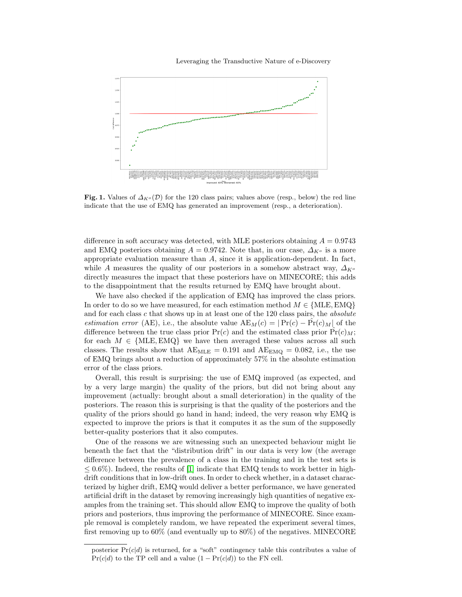#### Leveraging the Transductive Nature of e-Discovery



<span id="page-4-0"></span>Fig. 1. Values of  $\Delta_{K^o}(\mathcal{D})$  for the 120 class pairs; values above (resp., below) the red line indicate that the use of EMQ has generated an improvement (resp., a deterioration).

difference in soft accuracy was detected, with MLE posteriors obtaining  $A = 0.9743$ and EMQ posteriors obtaining  $A = 0.9742$ . Note that, in our case,  $\Delta_{K^o}$  is a more appropriate evaluation measure than A, since it is application-dependent. In fact, while A measures the quality of our posteriors in a somehow abstract way,  $\Delta_{K^o}$ directly measures the impact that these posteriors have on MINECORE; this adds to the disappointment that the results returned by EMQ have brought about.

We have also checked if the application of EMQ has improved the class priors. In order to do so we have measured, for each estimation method  $M \in \{MLE, EMQ\}$ and for each class  $c$  that shows up in at least one of the 120 class pairs, the *absolute* estimation error (AE), i.e., the absolute value  $AE_M(c) = |Pr(c) - \hat{Pr}(c)_M|$  of the difference between the true class prior  $Pr(c)$  and the estimated class prior  $Pr(c)_M$ ; for each  $M \in \{MLE, EMQ\}$  we have then averaged these values across all such classes. The results show that  $AE_{MLE} = 0.191$  and  $AE_{EMQ} = 0.082$ , i.e., the use of EMQ brings about a reduction of approximately 57% in the absolute estimation error of the class priors.

Overall, this result is surprising: the use of EMQ improved (as expected, and by a very large margin) the quality of the priors, but did not bring about any improvement (actually: brought about a small deterioration) in the quality of the posteriors. The reason this is surprising is that the quality of the posteriors and the quality of the priors should go hand in hand; indeed, the very reason why EMQ is expected to improve the priors is that it computes it as the sum of the supposedly better-quality posteriors that it also computes.

One of the reasons we are witnessing such an unexpected behaviour might lie beneath the fact that the "distribution drift" in our data is very low (the average difference between the prevalence of a class in the training and in the test sets is  $\leq$  0.6%). Indeed, the results of [\[1\]](#page-5-2) indicate that EMQ tends to work better in highdrift conditions that in low-drift ones. In order to check whether, in a dataset characterized by higher drift, EMQ would deliver a better performance, we have generated artificial drift in the dataset by removing increasingly high quantities of negative examples from the training set. This should allow EMQ to improve the quality of both priors and posteriors, thus improving the performance of MINECORE. Since example removal is completely random, we have repeated the experiment several times, first removing up to  $60\%$  (and eventually up to  $80\%$ ) of the negatives. MINECORE

posterior  $Pr(c|d)$  is returned, for a "soft" contingency table this contributes a value of  $Pr(c|d)$  to the TP cell and a value  $(1 - Pr(c|d))$  to the FN cell.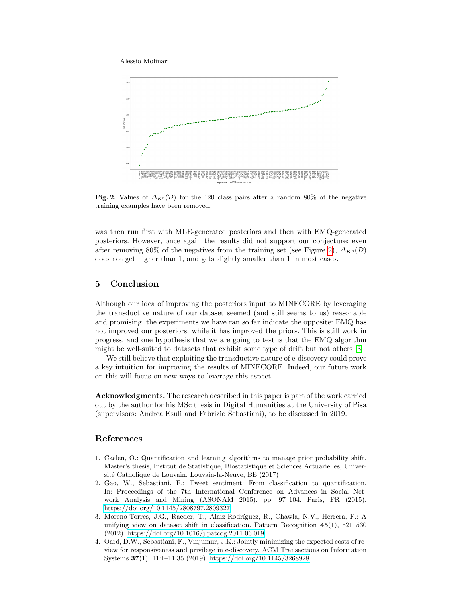Alessio Molinari



<span id="page-5-3"></span>Fig. 2. Values of  $\Delta_{K^o}(\mathcal{D})$  for the 120 class pairs after a random 80% of the negative training examples have been removed.

was then run first with MLE-generated posteriors and then with EMQ-generated posteriors. However, once again the results did not support our conjecture: even after removing 80% of the negatives from the training set (see Figure [2\)](#page-5-3),  $\Delta_{K^o}(\mathcal{D})$ does not get higher than 1, and gets slightly smaller than 1 in most cases.

## 5 Conclusion

Although our idea of improving the posteriors input to MINECORE by leveraging the transductive nature of our dataset seemed (and still seems to us) reasonable and promising, the experiments we have ran so far indicate the opposite: EMQ has not improved our posteriors, while it has improved the priors. This is still work in progress, and one hypothesis that we are going to test is that the EMQ algorithm might be well-suited to datasets that exhibit some type of drift but not others [\[3\]](#page-5-4).

We still believe that exploiting the transductive nature of e-discovery could prove a key intuition for improving the results of MINECORE. Indeed, our future work on this will focus on new ways to leverage this aspect.

Acknowledgments. The research described in this paper is part of the work carried out by the author for his MSc thesis in Digital Humanities at the University of Pisa (supervisors: Andrea Esuli and Fabrizio Sebastiani), to be discussed in 2019.

### References

- <span id="page-5-2"></span>1. Caelen, O.: Quantification and learning algorithms to manage prior probability shift. Master's thesis, Institut de Statistique, Biostatistique et Sciences Actuarielles, Université Catholique de Louvain, Louvain-la-Neuve, BE (2017)
- <span id="page-5-1"></span>2. Gao, W., Sebastiani, F.: Tweet sentiment: From classification to quantification. In: Proceedings of the 7th International Conference on Advances in Social Network Analysis and Mining (ASONAM 2015). pp. 97–104. Paris, FR (2015). <https://doi.org/10.1145/2808797.2809327>
- <span id="page-5-4"></span>3. Moreno-Torres, J.G., Raeder, T., Alaiz-Rodríguez, R., Chawla, N.V., Herrera, F.: A unifying view on dataset shift in classification. Pattern Recognition  $45(1)$ ,  $521-530$ (2012).<https://doi.org/10.1016/j.patcog.2011.06.019>
- <span id="page-5-0"></span>4. Oard, D.W., Sebastiani, F., Vinjumur, J.K.: Jointly minimizing the expected costs of review for responsiveness and privilege in e-discovery. ACM Transactions on Information Systems 37(1), 11:1–11:35 (2019).<https://doi.org/10.1145/3268928>